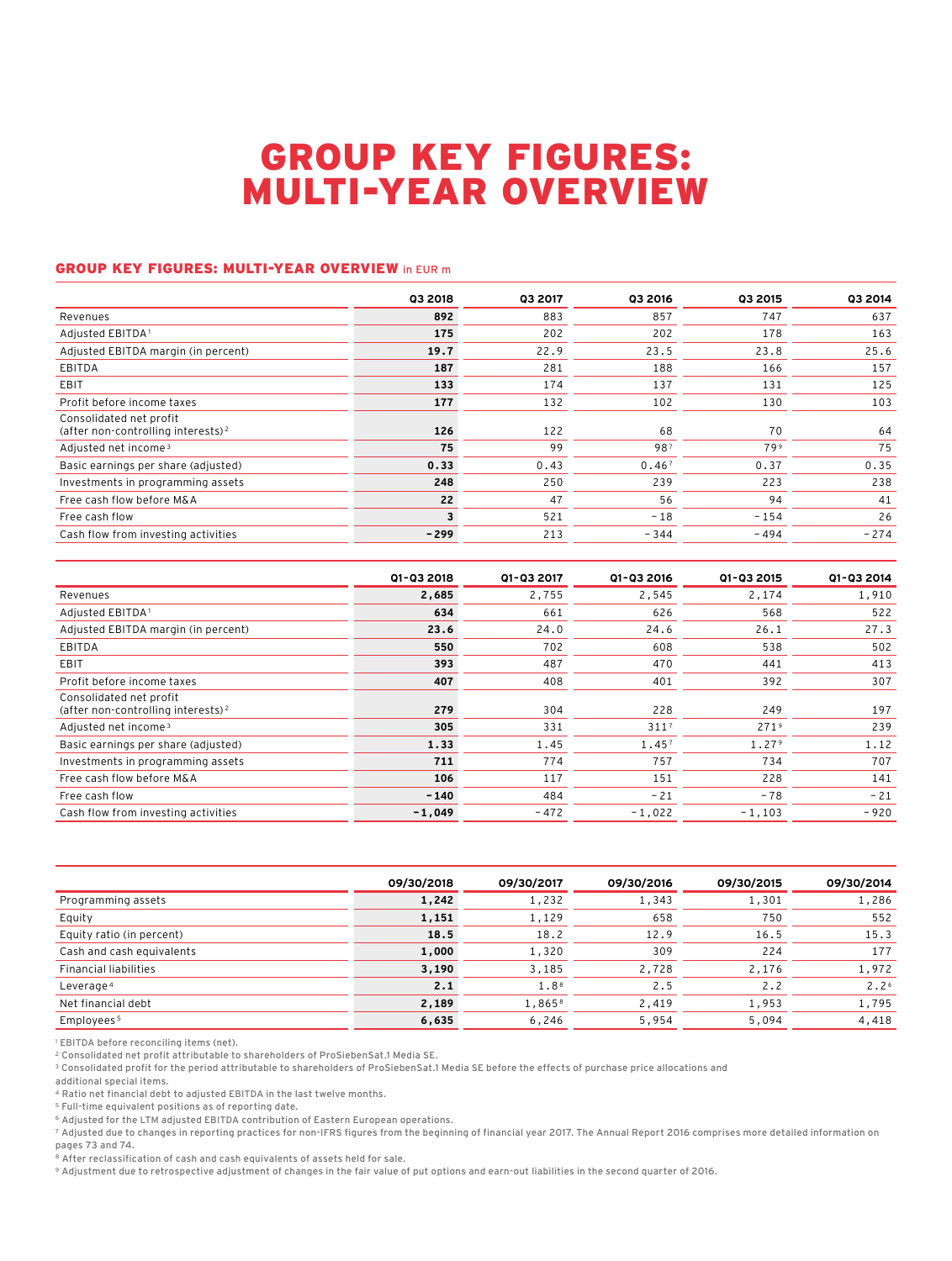## GROUP KEY FIGURES: MULTI-YEAR OVERVIEW

## GROUP KEY FIGURES: MULTI-YEAR OVERVIEW in EUR m

| <b>Q3 2018</b> | <b>Q3 2017</b> | <b>Q3 2016</b> | 03 2015 | 03 2014 |
|----------------|----------------|----------------|---------|---------|
| 892            | 883            | 857            | 747     | 637     |
| 175            | 202            | 202            | 178     | 163     |
| 19.7           | 22.9           | 23.5           | 23.8    | 25.6    |
| 187            | 281            | 188            | 166     | 157     |
| 133            | 174            | 137            | 131     | 125     |
| 177            | 132            | 102            | 130     | 103     |
| 126            | 122            | 68             | 70      | 64      |
| 75             | 99             | 987            | 799     | 75      |
| 0.33           | 0.43           | 0.467          | 0.37    | 0.35    |
| 248            | 250            | 239            | 223     | 238     |
| 22             | 47             | 56             | 94      | 41      |
| 3              | 521            | $-18$          | $-154$  | 26      |
| -299           | 213            | $-344$         | $-494$  | $-274$  |
|                |                |                |         |         |

|                                                                           | 01-03 2018 | Q1-Q3 2017 | 01-03 2016       | 01-03 2015       | Q1-Q3 2014 |
|---------------------------------------------------------------------------|------------|------------|------------------|------------------|------------|
| Revenues                                                                  | 2,685      | 2,755      | 2,545            | 2,174            | 1,910      |
| Adjusted EBITDA <sup>1</sup>                                              | 634        | 661        | 626              | 568              | 522        |
| Adjusted EBITDA margin (in percent)                                       | 23.6       | 24.0       | 24.6             | 26.1             | 27.3       |
| <b>EBITDA</b>                                                             | 550        | 702        | 608              | 538              | 502        |
| EBIT                                                                      | 393        | 487        | 470              | 441              | 413        |
| Profit before income taxes                                                | 407        | 408        | 401              | 392              | 307        |
| Consolidated net profit<br>(after non-controlling interests) <sup>2</sup> | 279        | 304        | 228              | 249              | 197        |
| Adjusted net income <sup>3</sup>                                          | 305        | 331        | 311 <sup>7</sup> | 271 <sup>9</sup> | 239        |
| Basic earnings per share (adjusted)                                       | 1.33       | 1.45       | 1.457            | 1.279            | 1.12       |
| Investments in programming assets                                         | 711        | 774        | 757              | 734              | 707        |
| Free cash flow before M&A                                                 | 106        | 117        | 151              | 228              | 141        |
| Free cash flow                                                            | $-140$     | 484        | $-21$            | $-78$            | $-21$      |
| Cash flow from investing activities                                       | $-1.049$   | $-472$     | $-1.022$         | $-1.103$         | $-920$     |

|                              | 09/30/2018 | 09/30/2017 | 09/30/2016 | 09/30/2015 | 09/30/2014       |
|------------------------------|------------|------------|------------|------------|------------------|
| Programming assets           | 1,242      | 1,232      | 1,343      | 1,301      | 1,286            |
| Equity                       | 1,151      | 1,129      | 658        | 750        | 552              |
| Equity ratio (in percent)    | 18.5       | 18.2       | 12.9       | 16.5       | 15.3             |
| Cash and cash equivalents    | 1,000      | 1,320      | 309        | 224        | 177              |
| <b>Financial liabilities</b> | 3,190      | 3,185      | 2,728      | 2,176      | 1,972            |
| Leverage 4                   | 2.1        | 1.88       | 2.5        | 2.2        | 2.2 <sup>6</sup> |
| Net financial debt           | 2,189      | 1,8658     | 2,419      | 1,953      | 1,795            |
| Employees <sup>5</sup>       | 6,635      | 6,246      | 5,954      | 5,094      | 4,418            |

<sup>1</sup> EBITDA before reconciling items (net).

2 Consolidated net profit attributable to shareholders of ProSiebenSat.1 Media SE.

<sup>3</sup> Consolidated profit for the period attributable to shareholders of ProSiebenSat.1 Media SE before the effects of purchase price allocations and

additional special items.

4 Ratio net financial debt to adjusted EBITDA in the last twelve months.

5 Full-time equivalent positions as of reporting date.

6 Adjusted for the LTM adjusted EBITDA contribution of Eastern European operations.

7 Adjusted due to changes in reporting practices for non-IFRS figures from the beginning of financial year 2017. The Annual Report 2016 comprises more detailed information on pages 73 and 74.

8 After reclassification of cash and cash equivalents of assets held for sale.

9 Adjustment due to retrospective adjustment of changes in the fair value of put options and earn-out liabilities in the second quarter of 2016.